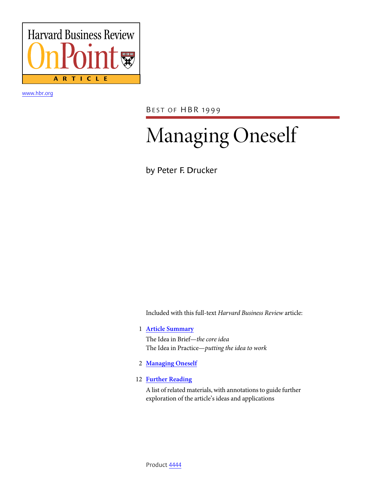

[www.hbr.org](http://www.hbr.org)

BEST OF HBR 1999

# Managing Oneself

by Peter F. Drucker

Included with this full-text *Harvard Business Review* article:

1 **[Article Summary](#page-1-0)**

The Idea in Brief—*the core idea* The Idea in Practice—*putting the idea to work*

- 2 **[Managing Oneself](#page-2-0)**
- 12 **[Further Reading](#page-12-0)**

A list of related materials, with annotations to guide further exploration of the article's ideas and applications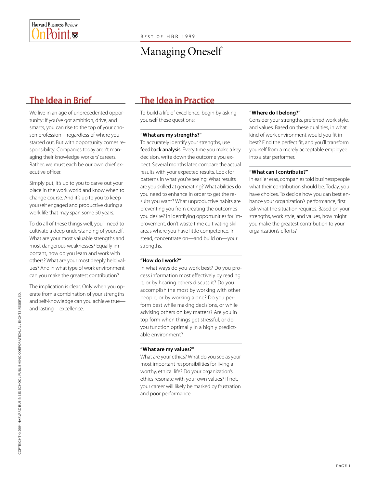# Managing Oneself

<span id="page-1-0"></span>We live in an age of unprecedented opportunity: If you've got ambition, drive, and smarts, you can rise to the top of your chosen profession—regardless of where you started out. But with opportunity comes responsibility. Companies today aren't managing their knowledge workers' careers. Rather, we must each be our own chief executive officer.

Simply put, it's up to you to carve out your place in the work world and know when to change course. And it's up to you to keep yourself engaged and productive during a work life that may span some 50 years.

To do all of these things well, you'll need to cultivate a deep understanding of yourself. What are your most valuable strengths and most dangerous weaknesses? Equally important, how do you learn and work with others? What are your most deeply held values? And in what type of work environment can you make the greatest contribution?

The implication is clear: Only when you operate from a combination of your strengths and self-knowledge can you achieve true and lasting—excellence.

## **The Idea in Brief The Idea in Practice**

To build a life of excellence, begin by asking yourself these questions:

## **"What are my strengths?"**

To accurately identify your strengths, use feedback analysis. Every time you make a key decision, write down the outcome you expect. Several months later, compare the actual results with your expected results. Look for patterns in what you're seeing: What results are you skilled at generating? What abilities do you need to enhance in order to get the results you want? What unproductive habits are preventing you from creating the outcomes you desire? In identifying opportunities for improvement, don't waste time cultivating skill areas where you have little competence. Instead, concentrate on—and build on—your strengths.

## **"How do I work?"**

In what ways do you work best? Do you process information most effectively by reading it, or by hearing others discuss it? Do you accomplish the most by working with other people, or by working alone? Do you perform best while making decisions, or while advising others on key matters? Are you in top form when things get stressful, or do you function optimally in a highly predictable environment?

## **"What are my values?"**

What are your ethics? What do you see as your most important responsibilities for living a worthy, ethical life? Do your organization's ethics resonate with your own values? If not, your career will likely be marked by frustration and poor performance.

## **"Where do I belong?"**

Consider your strengths, preferred work style, and values. Based on these qualities, in what kind of work environment would you fit in best? Find the perfect fit, and you'll transform yourself from a merely acceptable employee into a star performer.

## **"What can I contribute?"**

In earlier eras, companies told businesspeople what their contribution should be. Today, you have choices. To decide how you can best enhance your organization's performance, first ask what the situation requires. Based on your strengths, work style, and values, how might you make the greatest contribution to your organization's efforts?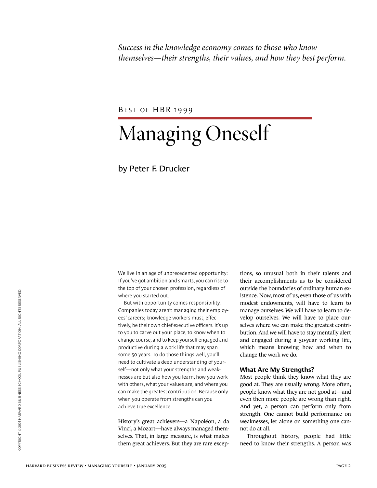*Success in the knowledge economy comes to those who know themselves—their strengths, their values, and how they best perform.*

BEST OF HBR 1999

# Managing Oneself

by Peter F. Drucker

<span id="page-2-0"></span>We live in an age of unprecedented opportunity: If you've got ambition and smarts, you can rise to the top of your chosen profession, regardless of where you started out.

But with opportunity comes responsibility. Companies today aren't managing their employees' careers; knowledge workers must, effectively, be their own chief executive officers. It's up to you to carve out your place, to know when to change course, and to keep yourself engaged and productive during a work life that may span some 50 years. To do those things well, you'll need to cultivate a deep understanding of yourself—not only what your strengths and weaknesses are but also how you learn, how you work with others, what your values are, and where you can make the greatest contribution. Because only when you operate from strengths can you achieve true excellence.

History's great achievers—a Napoléon, a da Vinci, a Mozart—have always managed themselves. That, in large measure, is what makes them great achievers. But they are rare exceptions, so unusual both in their talents and their accomplishments as to be considered outside the boundaries of ordinary human existence. Now, most of us, even those of us with modest endowments, will have to learn to manage ourselves. We will have to learn to develop ourselves. We will have to place ourselves where we can make the greatest contribution. And we will have to stay mentally alert and engaged during a 50-year working life, which means knowing how and when to change the work we do.

## **What Are My Strengths?**

Most people think they know what they are good at. They are usually wrong. More often, people know what they are not good at—and even then more people are wrong than right. And yet, a person can perform only from strength. One cannot build performance on weaknesses, let alone on something one cannot do at all.

Throughout history, people had little need to know their strengths. A person was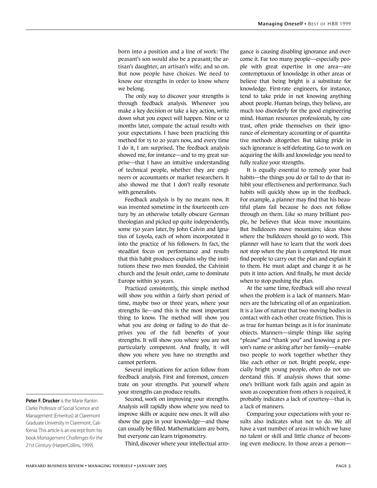born into a position and a line of work: The peasant's son would also be a peasant; the artisan's daughter, an artisan's wife; and so on. But now people have choices. We need to know our strengths in order to know where we belong.

The only way to discover your strengths is through feedback analysis. Whenever you make a key decision or take a key action, write down what you expect will happen. Nine or 12 months later, compare the actual results with your expectations. I have been practicing this method for 15 to 20 years now, and every time I do it, I am surprised. The feedback analysis showed me, for instance—and to my great surprise—that I have an intuitive understanding of technical people, whether they are engineers or accountants or market researchers. It also showed me that I don't really resonate with generalists.

Feedback analysis is by no means new. It was invented sometime in the fourteenth century by an otherwise totally obscure German theologian and picked up quite independently, some 150 years later, by John Calvin and Ignatius of Loyola, each of whom incorporated it into the practice of his followers. In fact, the steadfast focus on performance and results that this habit produces explains why the institutions these two men founded, the Calvinist church and the Jesuit order, came to dominate Europe within 30 years.

Practiced consistently, this simple method will show you within a fairly short period of time, maybe two or three years, where your strengths lie—and this is the most important thing to know. The method will show you what you are doing or failing to do that deprives you of the full benefits of your strengths. It will show you where you are not particularly competent. And finally, it will show you where you have no strengths and cannot perform.

Several implications for action follow from feedback analysis. First and foremost, concentrate on your strengths. Put yourself where your strengths can produce results.

Second, work on improving your strengths. Analysis will rapidly show where you need to improve skills or acquire new ones. It will also show the gaps in your knowledge—and those can usually be filled. Mathematicians are born, but everyone can learn trigonometry.

Third, discover where your intellectual arro-

gance is causing disabling ignorance and overcome it. Far too many people—especially people with great expertise in one area—are contemptuous of knowledge in other areas or believe that being bright is a substitute for knowledge. First-rate engineers, for instance, tend to take pride in not knowing anything about people. Human beings, they believe, are much too disorderly for the good engineering mind. Human resources professionals, by contrast, often pride themselves on their ignorance of elementary accounting or of quantitative methods altogether. But taking pride in such ignorance is self-defeating. Go to work on acquiring the skills and knowledge you need to fully realize your strengths.

It is equally essential to remedy your bad habits—the things you do or fail to do that inhibit your effectiveness and performance. Such habits will quickly show up in the feedback. For example, a planner may find that his beautiful plans fail because he does not follow through on them. Like so many brilliant people, he believes that ideas move mountains. But bulldozers move mountains; ideas show where the bulldozers should go to work. This planner will have to learn that the work does not stop when the plan is completed. He must find people to carry out the plan and explain it to them. He must adapt and change it as he puts it into action. And finally, he must decide when to stop pushing the plan.

At the same time, feedback will also reveal when the problem is a lack of manners. Manners are the lubricating oil of an organization. It is a law of nature that two moving bodies in contact with each other create friction. This is as true for human beings as it is for inanimate objects. Manners—simple things like saying "please" and "thank you" and knowing a person's name or asking after her family—enable two people to work together whether they like each other or not. Bright people, especially bright young people, often do not understand this. If analysis shows that someone's brilliant work fails again and again as soon as cooperation from others is required, it probably indicates a lack of courtesy—that is, a lack of manners.

Comparing your expectations with your results also indicates what not to do. We all have a vast number of areas in which we have no talent or skill and little chance of becoming even mediocre. In those areas a person—

**Peter F. Drucker** is the Marie Rankin Clarke Professor of Social Science and Management (Emeritus) at Claremont Graduate University in Claremont, California. This article is an excerpt from his book Management Challenges for the 21st Century (HarperCollins, 1999).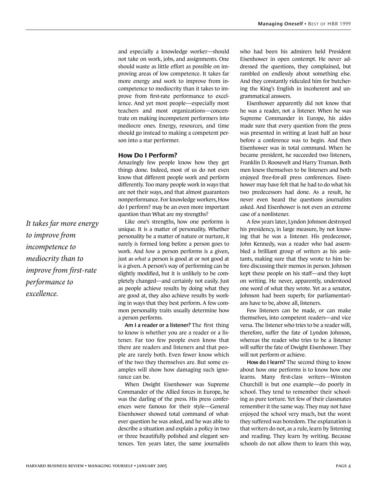and especially a knowledge worker—should not take on work, jobs, and assignments. One should waste as little effort as possible on improving areas of low competence. It takes far more energy and work to improve from incompetence to mediocrity than it takes to improve from first-rate performance to excellence. And yet most people—especially most teachers and most organizations—concentrate on making incompetent performers into mediocre ones. Energy, resources, and time should go instead to making a competent person into a star performer.

## **How Do I Perform?**

Amazingly few people know how they get things done. Indeed, most of us do not even know that different people work and perform differently. Too many people work in ways that are not their ways, and that almost guarantees nonperformance. For knowledge workers, How do I perform? may be an even more important question than What are my strengths?

Like one's strengths, how one performs is unique. It is a matter of personality. Whether personality be a matter of nature or nurture, it surely is formed long before a person goes to work. And *how* a person performs is a given, just as *what* a person is good at or not good at is a given. A person's way of performing can be slightly modified, but it is unlikely to be completely changed—and certainly not easily. Just as people achieve results by doing what they are good at, they also achieve results by working in ways that they best perform. A few common personality traits usually determine how a person performs.

**Am I a reader or a listener?** The first thing to know is whether you are a reader or a listener. Far too few people even know that there are readers and listeners and that people are rarely both. Even fewer know which of the two they themselves are. But some examples will show how damaging such ignorance can be.

When Dwight Eisenhower was Supreme Commander of the Allied forces in Europe, he was the darling of the press. His press conferences were famous for their style—General Eisenhower showed total command of whatever question he was asked, and he was able to describe a situation and explain a policy in two or three beautifully polished and elegant sentences. Ten years later, the same journalists

who had been his admirers held President Eisenhower in open contempt. He never addressed the questions, they complained, but rambled on endlessly about something else. And they constantly ridiculed him for butchering the King's English in incoherent and ungrammatical answers.

Eisenhower apparently did not know that he was a reader, not a listener. When he was Supreme Commander in Europe, his aides made sure that every question from the press was presented in writing at least half an hour before a conference was to begin. And then Eisenhower was in total command. When he became president, he succeeded two listeners, Franklin D. Roosevelt and Harry Truman. Both men knew themselves to be listeners and both enjoyed free-for-all press conferences. Eisenhower may have felt that he had to do what his two predecessors had done. As a result, he never even heard the questions journalists asked. And Eisenhower is not even an extreme case of a nonlistener.

A few years later, Lyndon Johnson destroyed his presidency, in large measure, by not knowing that he was a listener. His predecessor, John Kennedy, was a reader who had assembled a brilliant group of writers as his assistants, making sure that they wrote to him before discussing their memos in person. Johnson kept these people on his staff—and they kept on writing. He never, apparently, understood one word of what they wrote. Yet as a senator, Johnson had been superb; for parliamentarians have to be, above all, listeners.

Few listeners can be made, or can make themselves, into competent readers—and vice versa. The listener who tries to be a reader will, therefore, suffer the fate of Lyndon Johnson, whereas the reader who tries to be a listener will suffer the fate of Dwight Eisenhower. They will not perform or achieve.

**How do I learn?** The second thing to know about how one performs is to know how one learns. Many first-class writers—Winston Churchill is but one example—do poorly in school. They tend to remember their schooling as pure torture. Yet few of their classmates remember it the same way. They may not have enjoyed the school very much, but the worst they suffered was boredom. The explanation is that writers do not, as a rule, learn by listening and reading. They learn by writing. Because schools do not allow them to learn this way,

*It takes far more energy to improve from incompetence to mediocrity than to improve from first-rate performance to excellence.*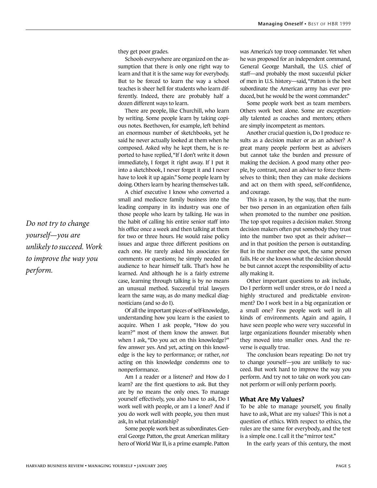they get poor grades.

Schools everywhere are organized on the assumption that there is only one right way to learn and that it is the same way for everybody. But to be forced to learn the way a school teaches is sheer hell for students who learn differently. Indeed, there are probably half a dozen different ways to learn.

There are people, like Churchill, who learn by writing. Some people learn by taking copious notes. Beethoven, for example, left behind an enormous number of sketchbooks, yet he said he never actually looked at them when he composed. Asked why he kept them, he is reported to have replied, "If I don't write it down immediately, I forget it right away. If I put it into a sketchbook, I never forget it and I never have to look it up again." Some people learn by doing. Others learn by hearing themselves talk.

A chief executive I know who converted a small and mediocre family business into the leading company in its industry was one of those people who learn by talking. He was in the habit of calling his entire senior staff into his office once a week and then talking at them for two or three hours. He would raise policy issues and argue three different positions on each one. He rarely asked his associates for comments or questions; he simply needed an audience to hear himself talk. That's how he learned. And although he is a fairly extreme case, learning through talking is by no means an unusual method. Successful trial lawyers learn the same way, as do many medical diagnosticians (and so do I).

Of all the important pieces of self-knowledge, understanding how you learn is the easiest to acquire. When I ask people, "How do you learn?" most of them know the answer. But when I ask, "Do you act on this knowledge?" few answer yes. And yet, acting on this knowledge is the key to performance; or rather, *not* acting on this knowledge condemns one to nonperformance.

Am I a reader or a listener? and How do I learn? are the first questions to ask. But they are by no means the only ones. To manage yourself effectively, you also have to ask, Do I work well with people, or am I a loner? And if you do work well with people, you then must ask, In what relationship?

Some people work best as subordinates. General George Patton, the great American military hero of World War II, is a prime example. Patton was America's top troop commander. Yet when he was proposed for an independent command, General George Marshall, the U.S. chief of staff—and probably the most successful picker of men in U.S. history—said, "Patton is the best subordinate the American army has ever produced, but he would be the worst commander."

Some people work best as team members. Others work best alone. Some are exceptionally talented as coaches and mentors; others are simply incompetent as mentors.

Another crucial question is, Do I produce results as a decision maker or as an adviser? A great many people perform best as advisers but cannot take the burden and pressure of making the decision. A good many other people, by contrast, need an adviser to force themselves to think; then they can make decisions and act on them with speed, self-confidence, and courage.

This is a reason, by the way, that the number two person in an organization often fails when promoted to the number one position. The top spot requires a decision maker. Strong decision makers often put somebody they trust into the number two spot as their adviser and in that position the person is outstanding. But in the number one spot, the same person fails. He or she knows what the decision should be but cannot accept the responsibility of actually making it.

Other important questions to ask include, Do I perform well under stress, or do I need a highly structured and predictable environment? Do I work best in a big organization or a small one? Few people work well in all kinds of environments. Again and again, I have seen people who were very successful in large organizations flounder miserably when they moved into smaller ones. And the reverse is equally true.

The conclusion bears repeating: Do not try to change yourself—you are unlikely to succeed. But work hard to improve the way you perform. And try not to take on work you cannot perform or will only perform poorly.

## **What Are My Values?**

To be able to manage yourself, you finally have to ask, What are my values? This is not a question of ethics. With respect to ethics, the rules are the same for everybody, and the test is a simple one. I call it the "mirror test."

In the early years of this century, the most

*Do not try to change yourself—you are unlikely to succeed. Work to improve the way you perform.*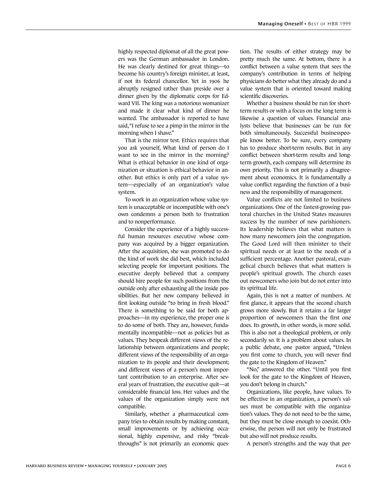highly respected diplomat of all the great powers was the German ambassador in London. He was clearly destined for great things—to become his country's foreign minister, at least, if not its federal chancellor. Yet in 1906 he abruptly resigned rather than preside over a dinner given by the diplomatic corps for Edward VII. The king was a notorious womanizer and made it clear what kind of dinner he wanted. The ambassador is reported to have said, "I refuse to see a pimp in the mirror in the morning when I shave."

That is the mirror test. Ethics requires that you ask yourself, What kind of person do I want to see in the mirror in the morning? What is ethical behavior in one kind of organization or situation is ethical behavior in another. But ethics is only part of a value system—especially of an organization's value system.

To work in an organization whose value system is unacceptable or incompatible with one's own condemns a person both to frustration and to nonperformance.

Consider the experience of a highly successful human resources executive whose company was acquired by a bigger organization. After the acquisition, she was promoted to do the kind of work she did best, which included selecting people for important positions. The executive deeply believed that a company should hire people for such positions from the outside only after exhausting all the inside possibilities. But her new company believed in first looking outside "to bring in fresh blood." There is something to be said for both approaches—in my experience, the proper one is to do some of both. They are, however, fundamentally incompatible—not as policies but as values. They bespeak different views of the relationship between organizations and people; different views of the responsibility of an organization to its people and their development; and different views of a person's most important contribution to an enterprise. After several years of frustration, the executive quit—at considerable financial loss. Her values and the values of the organization simply were not compatible.

Similarly, whether a pharmaceutical company tries to obtain results by making constant, small improvements or by achieving occasional, highly expensive, and risky "breakthroughs" is not primarily an economic question. The results of either strategy may be pretty much the same. At bottom, there is a conflict between a value system that sees the company's contribution in terms of helping physicians do better what they already do and a value system that is oriented toward making scientific discoveries.

Whether a business should be run for shortterm results or with a focus on the long term is likewise a question of values. Financial analysts believe that businesses can be run for both simultaneously. Successful businesspeople know better. To be sure, every company has to produce short-term results. But in any conflict between short-term results and longterm growth, each company will determine its own priority. This is not primarily a disagreement about economics. It is fundamentally a value conflict regarding the function of a business and the responsibility of management.

Value conflicts are not limited to business organizations. One of the fastest-growing pastoral churches in the United States measures success by the number of new parishioners. Its leadership believes that what matters is how many newcomers join the congregation. The Good Lord will then minister to their spiritual needs or at least to the needs of a sufficient percentage. Another pastoral, evangelical church believes that what matters is people's spiritual growth. The church eases out newcomers who join but do not enter into its spiritual life.

Again, this is not a matter of numbers. At first glance, it appears that the second church grows more slowly. But it retains a far larger proportion of newcomers than the first one does. Its growth, in other words, is more solid. This is also not a theological problem, or only secondarily so. It is a problem about values. In a public debate, one pastor argued, "Unless you first come to church, you will never find the gate to the Kingdom of Heaven."

"No," answered the other. "Until you first look for the gate to the Kingdom of Heaven, you don't belong in church."

Organizations, like people, have values. To be effective in an organization, a person's values must be compatible with the organization's values. They do not need to be the same, but they must be close enough to coexist. Otherwise, the person will not only be frustrated but also will not produce results.

A person's strengths and the way that per-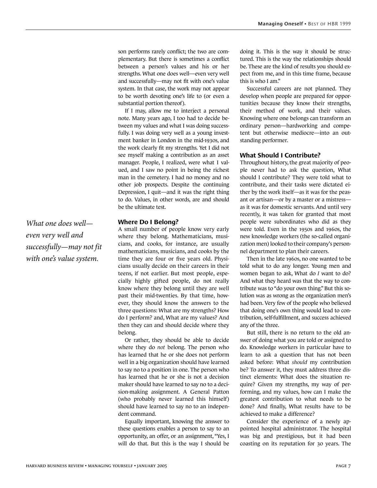son performs rarely conflict; the two are complementary. But there is sometimes a conflict between a person's values and his or her strengths. What one does well—even very well and successfully—may not fit with one's value system. In that case, the work may not appear to be worth devoting one's life to (or even a substantial portion thereof).

If I may, allow me to interject a personal note. Many years ago, I too had to decide between my values and what I was doing successfully. I was doing very well as a young investment banker in London in the mid-1930s, and the work clearly fit my strengths. Yet I did not see myself making a contribution as an asset manager. People, I realized, were what I valued, and I saw no point in being the richest man in the cemetery. I had no money and no other job prospects. Despite the continuing Depression, I quit—and it was the right thing to do. Values, in other words, are and should be the ultimate test.

## **Where Do I Belong?**

A small number of people know very early where they belong. Mathematicians, musicians, and cooks, for instance, are usually mathematicians, musicians, and cooks by the time they are four or five years old. Physicians usually decide on their careers in their teens, if not earlier. But most people, especially highly gifted people, do not really know where they belong until they are well past their mid-twenties. By that time, however, they should know the answers to the three questions: What are my strengths? How do I perform? and, What are my values? And then they can and should decide where they belong.

Or rather, they should be able to decide where they do *not* belong. The person who has learned that he or she does not perform well in a big organization should have learned to say no to a position in one. The person who has learned that he or she is not a decision maker should have learned to say no to a decision-making assignment. A General Patton (who probably never learned this himself) should have learned to say no to an independent command.

Equally important, knowing the answer to these questions enables a person to say to an opportunity, an offer, or an assignment, "Yes, I will do that. But this is the way I should be

doing it. This is the way it should be structured. This is the way the relationships should be. These are the kind of results you should expect from me, and in this time frame, because this is who I am."

Successful careers are not planned. They develop when people are prepared for opportunities because they know their strengths, their method of work, and their values. Knowing where one belongs can transform an ordinary person—hardworking and competent but otherwise mediocre—into an outstanding performer.

## **What Should I Contribute?**

Throughout history, the great majority of people never had to ask the question, What should I contribute? They were told what to contribute, and their tasks were dictated either by the work itself—as it was for the peasant or artisan—or by a master or a mistress as it was for domestic servants. And until very recently, it was taken for granted that most people were subordinates who did as they were told. Even in the 1950s and 1960s, the new knowledge workers (the so-called organization men) looked to their company's personnel department to plan their careers.

Then in the late 1960s, no one wanted to be told what to do any longer. Young men and women began to ask, What do *I* want to do? And what they heard was that the way to contribute was to "do your own thing." But this solution was as wrong as the organization men's had been. Very few of the people who believed that doing one's own thing would lead to contribution, self-fulfillment, and success achieved any of the three.

But still, there is no return to the old answer of doing what you are told or assigned to do. Knowledge workers in particular have to learn to ask a question that has not been asked before: What *should* my contribution be? To answer it, they must address three distinct elements: What does the situation require? Given my strengths, my way of performing, and my values, how can I make the greatest contribution to what needs to be done? And finally, What results have to be achieved to make a difference?

Consider the experience of a newly appointed hospital administrator. The hospital was big and prestigious, but it had been coasting on its reputation for 30 years. The

*What one does well even very well and successfully—may not fit with one's value system.*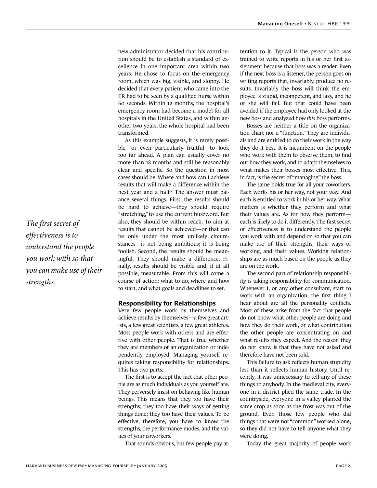new administrator decided that his contribution should be to establish a standard of excellence in one important area within two years. He chose to focus on the emergency room, which was big, visible, and sloppy. He decided that every patient who came into the ER had to be seen by a qualified nurse within 60 seconds. Within 12 months, the hospital's emergency room had become a model for all hospitals in the United States, and within another two years, the whole hospital had been transformed.

As this example suggests, it is rarely possible—or even particularly fruitful—to look too far ahead. A plan can usually cover no more than 18 months and still be reasonably clear and specific. So the question in most cases should be, Where and how can I achieve results that will make a difference within the next year and a half? The answer must balance several things. First, the results should be hard to achieve—they should require "stretching," to use the current buzzword. But also, they should be within reach. To aim at results that cannot be achieved—or that can be only under the most unlikely circumstances—is not being ambitious; it is being foolish. Second, the results should be meaningful. They should make a difference. Finally, results should be visible and, if at all possible, measurable. From this will come a course of action: what to do, where and how to start, and what goals and deadlines to set.

## **Responsibility for Relationships**

Very few people work by themselves and achieve results by themselves—a few great artists, a few great scientists, a few great athletes. Most people work with others and are effective with other people. That is true whether they are members of an organization or independently employed. Managing yourself requires taking responsibility for relationships. This has two parts.

The first is to accept the fact that other people are as much individuals as you yourself are. They perversely insist on behaving like human beings. This means that they too have their strengths; they too have their ways of getting things done; they too have their values. To be effective, therefore, you have to know the strengths, the performance modes, and the values of your coworkers.

That sounds obvious, but few people pay at-

tention to it. Typical is the person who was trained to write reports in his or her first assignment because that boss was a reader. Even if the next boss is a listener, the person goes on writing reports that, invariably, produce no results. Invariably the boss will think the employee is stupid, incompetent, and lazy, and he or she will fail. But that could have been avoided if the employee had only looked at the new boss and analyzed how *this* boss performs.

Bosses are neither a title on the organization chart nor a "function." They are individuals and are entitled to do their work in the way they do it best. It is incumbent on the people who work with them to observe them, to find out how they work, and to adapt themselves to what makes their bosses most effective. This, in fact, is the secret of "managing" the boss.

The same holds true for all your coworkers. Each works his or her way, not your way. And each is entitled to work in his or her way. What matters is whether they perform and what their values are. As for how they perform each is likely to do it differently. The first secret of effectiveness is to understand the people you work with and depend on so that you can make use of their strengths, their ways of working, and their values. Working relationships are as much based on the people as they are on the work.

The second part of relationship responsibility is taking responsibility for communication. Whenever I, or any other consultant, start to work with an organization, the first thing I hear about are all the personality conflicts. Most of these arise from the fact that people do not know what other people are doing and how they do their work, or what contribution the other people are concentrating on and what results they expect. And the reason they do not know is that they have not asked and therefore have not been told.

This failure to ask reflects human stupidity less than it reflects human history. Until recently, it was unnecessary to tell any of these things to anybody. In the medieval city, everyone in a district plied the same trade. In the countryside, everyone in a valley planted the same crop as soon as the frost was out of the ground. Even those few people who did things that were not "common" worked alone, so they did not have to tell anyone what they were doing.

Today the great majority of people work

*The first secret of effectiveness is to understand the people you work with so that you can make use of their strengths.*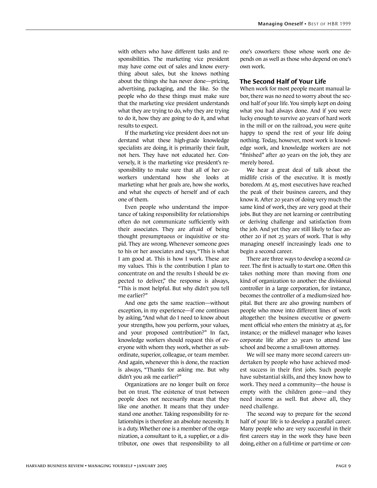with others who have different tasks and responsibilities. The marketing vice president may have come out of sales and know everything about sales, but she knows nothing about the things she has never done—pricing, advertising, packaging, and the like. So the people who do these things must make sure that the marketing vice president understands what they are trying to do, why they are trying to do it, how they are going to do it, and what results to expect.

If the marketing vice president does not understand what these high-grade knowledge specialists are doing, it is primarily their fault, not hers. They have not educated her. Conversely, it is the marketing vice president's responsibility to make sure that all of her coworkers understand how she looks at marketing: what her goals are, how she works, and what she expects of herself and of each one of them.

Even people who understand the importance of taking responsibility for relationships often do not communicate sufficiently with their associates. They are afraid of being thought presumptuous or inquisitive or stupid. They are wrong. Whenever someone goes to his or her associates and says, "This is what I am good at. This is how I work. These are my values. This is the contribution I plan to concentrate on and the results I should be expected to deliver," the response is always, "This is most helpful. But why didn't you tell me earlier?"

And one gets the same reaction—without exception, in my experience—if one continues by asking, "And what do I need to know about your strengths, how you perform, your values, and your proposed contribution?" In fact, knowledge workers should request this of everyone with whom they work, whether as subordinate, superior, colleague, or team member. And again, whenever this is done, the reaction is always, "Thanks for asking me. But why didn't you ask me earlier?"

Organizations are no longer built on force but on trust. The existence of trust between people does not necessarily mean that they like one another. It means that they understand one another. Taking responsibility for relationships is therefore an absolute necessity. It is a duty. Whether one is a member of the organization, a consultant to it, a supplier, or a distributor, one owes that responsibility to all

one's coworkers: those whose work one depends on as well as those who depend on one's own work.

### **The Second Half of Your Life**

When work for most people meant manual labor, there was no need to worry about the second half of your life. You simply kept on doing what you had always done. And if you were lucky enough to survive 40 years of hard work in the mill or on the railroad, you were quite happy to spend the rest of your life doing nothing. Today, however, most work is knowledge work, and knowledge workers are not "finished" after 40 years on the job, they are merely bored.

We hear a great deal of talk about the midlife crisis of the executive. It is mostly boredom. At 45, most executives have reached the peak of their business careers, and they know it. After 20 years of doing very much the same kind of work, they are very good at their jobs. But they are not learning or contributing or deriving challenge and satisfaction from the job. And yet they are still likely to face another 20 if not 25 years of work. That is why managing oneself increasingly leads one to begin a second career.

There are three ways to develop a second career. The first is actually to start one. Often this takes nothing more than moving from one kind of organization to another: the divisional controller in a large corporation, for instance, becomes the controller of a medium-sized hospital. But there are also growing numbers of people who move into different lines of work altogether: the business executive or government official who enters the ministry at 45, for instance; or the midlevel manager who leaves corporate life after 20 years to attend law school and become a small-town attorney.

We will see many more second careers undertaken by people who have achieved modest success in their first jobs. Such people have substantial skills, and they know how to work. They need a community—the house is empty with the children gone—and they need income as well. But above all, they need challenge.

The second way to prepare for the second half of your life is to develop a parallel career. Many people who are very successful in their first careers stay in the work they have been doing, either on a full-time or part-time or con-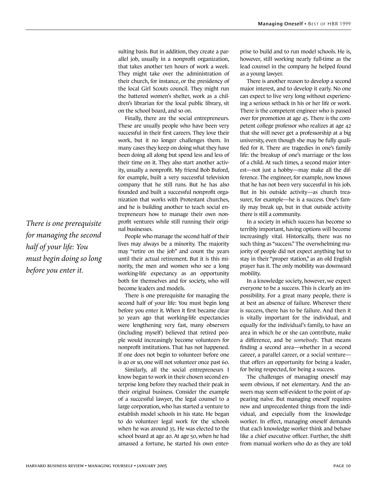sulting basis. But in addition, they create a parallel job, usually in a nonprofit organization, that takes another ten hours of work a week. They might take over the administration of their church, for instance, or the presidency of the local Girl Scouts council. They might run the battered women's shelter, work as a children's librarian for the local public library, sit on the school board, and so on.

Finally, there are the social entrepreneurs. These are usually people who have been very successful in their first careers. They love their work, but it no longer challenges them. In many cases they keep on doing what they have been doing all along but spend less and less of their time on it. They also start another activity, usually a nonprofit. My friend Bob Buford, for example, built a very successful television company that he still runs. But he has also founded and built a successful nonprofit organization that works with Protestant churches, and he is building another to teach social entrepreneurs how to manage their own nonprofit ventures while still running their original businesses.

People who manage the second half of their lives may always be a minority. The majority may "retire on the job" and count the years until their actual retirement. But it is this minority, the men and women who see a long working-life expectancy as an opportunity both for themselves and for society, who will become leaders and models.

There is one prerequisite for managing the second half of your life: You must begin long before you enter it. When it first became clear 30 years ago that working-life expectancies were lengthening very fast, many observers (including myself) believed that retired people would increasingly become volunteers for nonprofit institutions. That has not happened. If one does not begin to volunteer before one is 40 or so, one will not volunteer once past 60.

Similarly, all the social entrepreneurs I know began to work in their chosen second enterprise long before they reached their peak in their original business. Consider the example of a successful lawyer, the legal counsel to a large corporation, who has started a venture to establish model schools in his state. He began to do volunteer legal work for the schools when he was around 35. He was elected to the school board at age 40. At age 50, when he had amassed a fortune, he started his own enterprise to build and to run model schools. He is, however, still working nearly full-time as the lead counsel in the company he helped found as a young lawyer.

There is another reason to develop a second major interest, and to develop it early. No one can expect to live very long without experiencing a serious setback in his or her life or work. There is the competent engineer who is passed over for promotion at age 45. There is the competent college professor who realizes at age 42 that she will never get a professorship at a big university, even though she may be fully qualified for it. There are tragedies in one's family life: the breakup of one's marriage or the loss of a child. At such times, a second major interest—not just a hobby—may make all the difference. The engineer, for example, now knows that he has not been very successful in his job. But in his outside activity—as church treasurer, for example—he is a success. One's family may break up, but in that outside activity there is still a community.

In a society in which success has become so terribly important, having options will become increasingly vital. Historically, there was no such thing as "success." The overwhelming majority of people did not expect anything but to stay in their "proper station," as an old English prayer has it. The only mobility was downward mobility.

In a knowledge society, however, we expect everyone to be a success. This is clearly an impossibility. For a great many people, there is at best an absence of failure. Wherever there is success, there has to be failure. And then it is vitally important for the individual, and equally for the individual's family, to have an area in which he or she can contribute, make a difference, and be *somebody*. That means finding a second area—whether in a second career, a parallel career, or a social venture that offers an opportunity for being a leader, for being respected, for being a success.

The challenges of managing oneself may seem obvious, if not elementary. And the answers may seem self-evident to the point of appearing naïve. But managing oneself requires new and unprecedented things from the individual, and especially from the knowledge worker. In effect, managing oneself demands that each knowledge worker think and behave like a chief executive officer. Further, the shift from manual workers who do as they are told

*There is one prerequisite for managing the second half of your life: You must begin doing so long before you enter it.*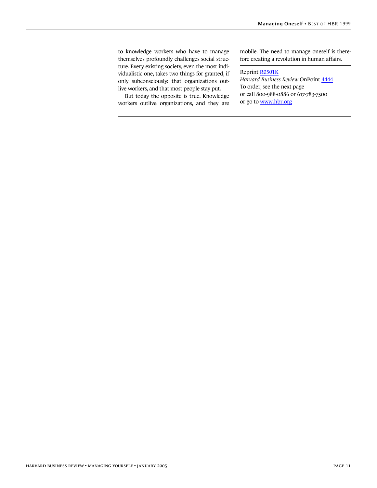to knowledge workers who have to manage themselves profoundly challenges social structure. Every existing society, even the most individualistic one, takes two things for granted, if only subconsciously: that organizations outlive workers, and that most people stay put.

But today the opposite is true. Knowledge workers outlive organizations, and they are mobile. The need to manage oneself is therefore creating a revolution in human affairs.

Reprint [R0501K](http://harvardbusinessonline.hbsp.harvard.edu/relay.jhtml?name=itemdetail&referral=4320&id=R0501K)

*Harvard Business Review* OnPoint [4444](http://harvardbusinessonline.hbsp.harvard.edu/relay.jhtml?name=itemdetail&referral=4320&id=4444) To order, see the next page or call 800-988-0886 or 617-783-7500 or go to [www.hbr.org](http://www.hbr.org)